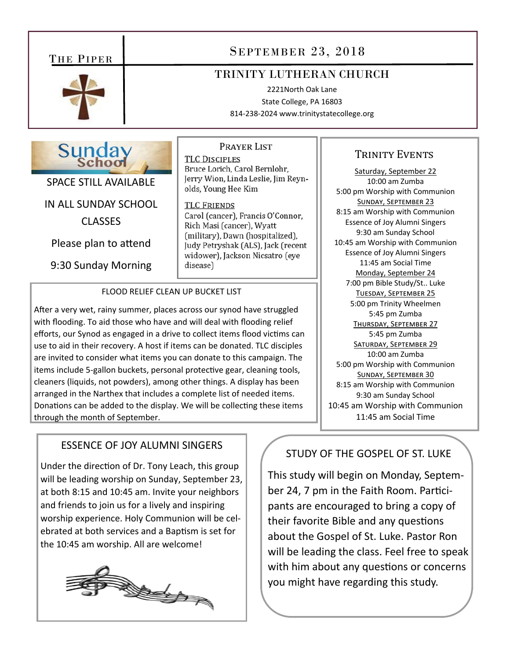# THE PIPER SEPTEMBER 23, 2018

# TRINITY LUTHERAN CHURCH

2221North Oak Lane State College, PA 16803 814‐238‐2024 www.trinitystatecollege.org



SPACE STILL AVAILABLE

IN ALL SUNDAY SCHOOL

CLASSES

Please plan to attend

9:30 Sunday Morning

PRAYER LIST **TLC DISCIPLES** Bruce Lorich, Carol Bernlohr, Jerry Wion, Linda Leslie, Jim Reynolds, Young Hee Kim

**TLC FRIENDS** Carol (cancer), Francis O'Connor, Rich Masi (cancer), Wyatt (military), Dawn (hospitalized), Judy Petryshak (ALS), Jack (recent widower), Jackson Nicsatro (eye disease)

## FLOOD RELIEF CLEAN UP BUCKET LIST

After a very wet, rainy summer, places across our synod have struggled with flooding. To aid those who have and will deal with flooding relief efforts, our Synod as engaged in a drive to collect items flood victims can use to aid in their recovery. A host if items can be donated. TLC disciples are invited to consider what items you can donate to this campaign. The items include 5-gallon buckets, personal protective gear, cleaning tools, cleaners (liquids, not powders), among other things. A display has been arranged in the Narthex that includes a complete list of needed items. Donations can be added to the display. We will be collecting these items through the month of September.

# ESSENCE OF JOY ALUMNI SINGERS

Under the direction of Dr. Tony Leach, this group will be leading worship on Sunday, September 23, at both 8:15 and 10:45 am. Invite your neighbors and friends to join us for a lively and inspiring worship experience. Holy Communion will be cel‐ ebrated at both services and a Baptism is set for the 10:45 am worship. All are welcome!



# TRINITY EVENTS

Saturday, September 22 10:00 am Zumba 5:00 pm Worship with Communion SUNDAY, SEPTEMBER 23 8:15 am Worship with Communion Essence of Joy Alumni Singers 9:30 am Sunday School 10:45 am Worship with Communion Essence of Joy Alumni Singers 11:45 am Social Time Monday, September 24 7:00 pm Bible Study/St.. Luke TUESDAY, SEPTEMBER 25 5:00 pm Trinity Wheelmen 5:45 pm Zumba THURSDAY, SEPTEMBER 27 5:45 pm Zumba SATURDAY, SEPTEMBER 29 10:00 am Zumba 5:00 pm Worship with Communion SUNDAY, SEPTEMBER 30 8:15 am Worship with Communion 9:30 am Sunday School 10:45 am Worship with Communion 11:45 am Social Time

# STUDY OF THE GOSPEL OF ST. LUKE

This study will begin on Monday, Septem‐ ber 24, 7 pm in the Faith Room. Participants are encouraged to bring a copy of their favorite Bible and any questions about the Gospel of St. Luke. Pastor Ron will be leading the class. Feel free to speak with him about any questions or concerns you might have regarding this study.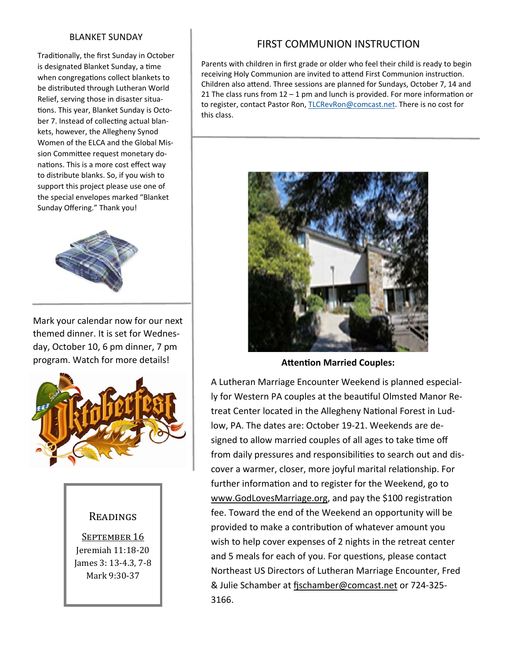### BLANKET SUNDAY

Traditionally, the first Sunday in October is designated Blanket Sunday, a time when congregations collect blankets to be distributed through Lutheran World Relief, serving those in disaster situa‐ tions. This year, Blanket Sunday is October 7. Instead of collecting actual blankets, however, the Allegheny Synod Women of the ELCA and the Global Mis‐ sion Committee request monetary donations. This is a more cost effect way to distribute blanks. So, if you wish to support this project please use one of the special envelopes marked "Blanket Sunday Offering." Thank you!



Mark your calendar now for our next themed dinner. It is set for Wednes‐ day, October 10, 6 pm dinner, 7 pm program. Watch for more details!



## READINGS

SEPTEMBER 16 Jeremiah 11:18-20 James 3: 13-4.3, 7-8 Mark 9:30-37

# FIRST COMMUNION INSTRUCTION

Parents with children in first grade or older who feel their child is ready to begin receiving Holy Communion are invited to attend First Communion instruction. Children also aƩend. Three sessions are planned for Sundays, October 7, 14 and 21 The class runs from  $12 - 1$  pm and lunch is provided. For more information or to register, contact Pastor Ron, TLCRevRon@comcast.net. There is no cost for this class.



**Attention Married Couples:** 

A Lutheran Marriage Encounter Weekend is planned especial‐ ly for Western PA couples at the beautiful Olmsted Manor Retreat Center located in the Allegheny National Forest in Ludlow, PA. The dates are: October 19‐21. Weekends are de‐ signed to allow married couples of all ages to take time off from daily pressures and responsibilities to search out and discover a warmer, closer, more joyful marital relationship. For further information and to register for the Weekend, go to www.GodLovesMarriage.org, and pay the \$100 registration fee. Toward the end of the Weekend an opportunity will be provided to make a contribution of whatever amount you wish to help cover expenses of 2 nights in the retreat center and 5 meals for each of you. For questions, please contact Northeast US Directors of Lutheran Marriage Encounter, Fred & Julie Schamber at fischamber@comcast.net or 724-325-3166.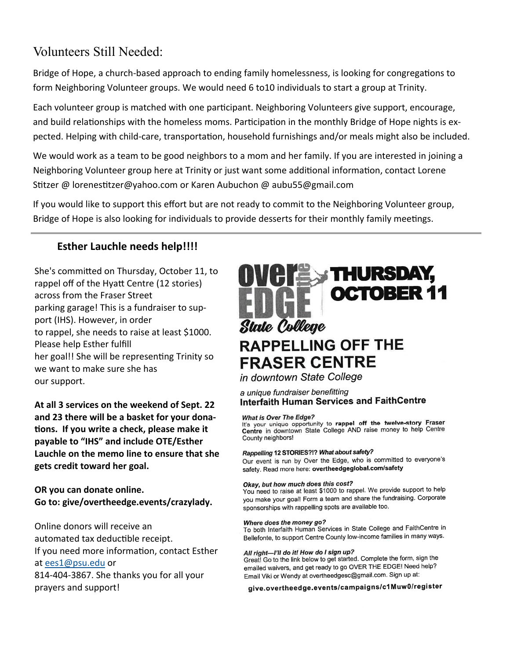# Volunteers Still Needed:

Bridge of Hope, a church-based approach to ending family homelessness, is looking for congregations to form Neighboring Volunteer groups. We would need 6 to10 individuals to start a group at Trinity.

Each volunteer group is matched with one participant. Neighboring Volunteers give support, encourage, and build relationships with the homeless moms. Participation in the monthly Bridge of Hope nights is expected. Helping with child-care, transportation, household furnishings and/or meals might also be included.

We would work as a team to be good neighbors to a mom and her family. If you are interested in joining a Neighboring Volunteer group here at Trinity or just want some additional information, contact Lorene Stitzer @ lorenestitzer@yahoo.com or Karen Aubuchon @ aubu55@gmail.com

If you would like to support this effort but are not ready to commit to the Neighboring Volunteer group, Bridge of Hope is also looking for individuals to provide desserts for their monthly family meetings.

# **Esther Lauchle needs help!!!!**

She's committed on Thursday, October 11, to rappel off of the Hyatt Centre (12 stories) across from the Fraser Street parking garage! This is a fundraiser to sup‐ port (IHS). However, in order to rappel, she needs to raise at least \$1000. Please help Esther fulfill her goal!! She will be representing Trinity so we want to make sure she has our support.

**At all 3 services on the weekend of Sept. 22 and 23 there will be a basket for your dona-Ɵons. If you write a check, please make it payable to "IHS" and include OTE/Esther Lauchle on the memo line to ensure that she gets credit toward her goal.** 

**OR you can donate online. Go to: give/overtheedge.events/crazylady.** 

Online donors will receive an automated tax deductible receipt. If you need more information, contact Esther at ees1@psu.edu or 814‐404‐3867. She thanks you for all your prayers and support!



in downtown State College

### a unique fundraiser benefitting **Interfaith Human Services and FaithCentre**

#### What is Over The Edge?

It's your unique opportunity to rappel off the twelve-story Fraser Centre in downtown State College AND raise money to help Centre County neighbors!

### Rappelling 12 STORIES?!? What about safety?

Our event is run by Over the Edge, who is committed to everyone's safety. Read more here: overtheedgeglobal.com/safety

### Okay, but how much does this cost?

You need to raise at least \$1000 to rappel. We provide support to help you make your goal! Form a team and share the fundraising. Corporate sponsorships with rappelling spots are available too.

### Where does the money go?

To both Interfaith Human Services in State College and FaithCentre in Bellefonte, to support Centre County low-income families in many ways.

### All right-I'll do it! How do I sign up?

Great! Go to the link below to get started. Complete the form, sign the emailed waivers, and get ready to go OVER THE EDGE! Need help? Email Viki or Wendy at overtheedgesc@gmail.com. Sign up at:

give.overtheedge.events/campaigns/c1Muw0/register